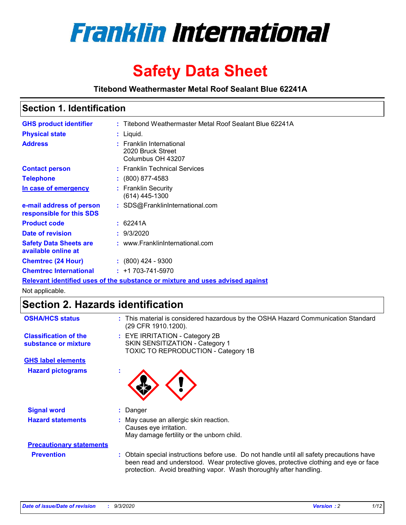

# **Safety Data Sheet**

**Titebond Weathermaster Metal Roof Sealant Blue 62241A**

### **Section 1. Identification**

| <b>GHS product identifier</b>                                                 |  | : Titebond Weathermaster Metal Roof Sealant Blue 62241A            |  |  |
|-------------------------------------------------------------------------------|--|--------------------------------------------------------------------|--|--|
| <b>Physical state</b>                                                         |  | : Liquid.                                                          |  |  |
| <b>Address</b>                                                                |  | : Franklin International<br>2020 Bruck Street<br>Columbus OH 43207 |  |  |
| <b>Contact person</b>                                                         |  | : Franklin Technical Services                                      |  |  |
| <b>Telephone</b>                                                              |  | $: (800) 877-4583$                                                 |  |  |
| In case of emergency                                                          |  | : Franklin Security<br>(614) 445-1300                              |  |  |
| e-mail address of person<br>responsible for this SDS                          |  | : SDS@FranklinInternational.com                                    |  |  |
| <b>Product code</b>                                                           |  | : 62241A                                                           |  |  |
| Date of revision                                                              |  | : 9/3/2020                                                         |  |  |
| <b>Safety Data Sheets are</b><br>available online at                          |  | : www.FranklinInternational.com                                    |  |  |
| <b>Chemtrec (24 Hour)</b>                                                     |  | $: (800)$ 424 - 9300                                               |  |  |
| <b>Chemtrec International</b>                                                 |  | $: +1703 - 741 - 5970$                                             |  |  |
| Relevant identified uses of the substance or mixture and uses advised against |  |                                                                    |  |  |

Not applicable.

# **Section 2. Hazards identification**

| <b>OSHA/HCS status</b>                               |    | : This material is considered hazardous by the OSHA Hazard Communication Standard<br>(29 CFR 1910.1200).                                                                                                                                                 |
|------------------------------------------------------|----|----------------------------------------------------------------------------------------------------------------------------------------------------------------------------------------------------------------------------------------------------------|
| <b>Classification of the</b><br>substance or mixture |    | : EYE IRRITATION - Category 2B<br>SKIN SENSITIZATION - Category 1<br>TOXIC TO REPRODUCTION - Category 1B                                                                                                                                                 |
| <b>GHS label elements</b>                            |    |                                                                                                                                                                                                                                                          |
| <b>Hazard pictograms</b>                             | ×. |                                                                                                                                                                                                                                                          |
| <b>Signal word</b>                                   | ÷. | Danger                                                                                                                                                                                                                                                   |
| <b>Hazard statements</b>                             |    | May cause an allergic skin reaction.<br>Causes eye irritation.<br>May damage fertility or the unborn child.                                                                                                                                              |
| <b>Precautionary statements</b>                      |    |                                                                                                                                                                                                                                                          |
| <b>Prevention</b>                                    |    | : Obtain special instructions before use. Do not handle until all safety precautions have<br>been read and understood. Wear protective gloves, protective clothing and eye or face<br>protection. Avoid breathing vapor. Wash thoroughly after handling. |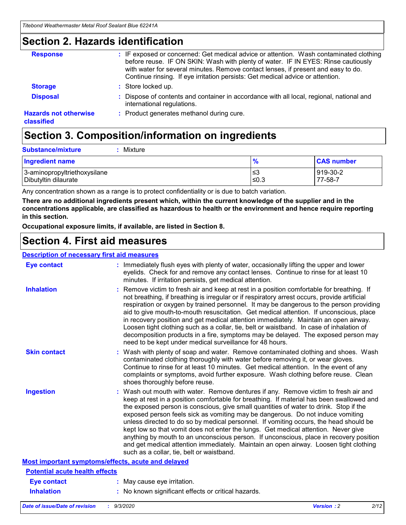### **Section 2. Hazards identification**

| <b>Response</b>                            | : IF exposed or concerned: Get medical advice or attention. Wash contaminated clothing<br>before reuse. IF ON SKIN: Wash with plenty of water. IF IN EYES: Rinse cautiously<br>with water for several minutes. Remove contact lenses, if present and easy to do.<br>Continue rinsing. If eye irritation persists: Get medical advice or attention. |
|--------------------------------------------|----------------------------------------------------------------------------------------------------------------------------------------------------------------------------------------------------------------------------------------------------------------------------------------------------------------------------------------------------|
| <b>Storage</b>                             | : Store locked up.                                                                                                                                                                                                                                                                                                                                 |
| <b>Disposal</b>                            | : Dispose of contents and container in accordance with all local, regional, national and<br>international regulations.                                                                                                                                                                                                                             |
| <b>Hazards not otherwise</b><br>classified | : Product generates methanol during cure.                                                                                                                                                                                                                                                                                                          |

# **Section 3. Composition/information on ingredients**

| <b>Substance/mixture</b> | Mixture |
|--------------------------|---------|
|                          |         |

| <b>Ingredient name</b>       | $\frac{9}{6}$ | <b>CAS number</b> |
|------------------------------|---------------|-------------------|
| 3-aminopropyltriethoxysilane | ≤3            | 919-30-2          |
| Dibutyltin dilaurate         | ∣≤0.3         | 77-58-7           |

Any concentration shown as a range is to protect confidentiality or is due to batch variation.

**There are no additional ingredients present which, within the current knowledge of the supplier and in the concentrations applicable, are classified as hazardous to health or the environment and hence require reporting in this section.**

**Occupational exposure limits, if available, are listed in Section 8.**

### **Section 4. First aid measures**

| <b>Description of necessary first aid measures</b> |                                                                                                                                                                                                                                                                                                                                                                                                                                                                                                                                                                                                                                                                                                                                                                           |
|----------------------------------------------------|---------------------------------------------------------------------------------------------------------------------------------------------------------------------------------------------------------------------------------------------------------------------------------------------------------------------------------------------------------------------------------------------------------------------------------------------------------------------------------------------------------------------------------------------------------------------------------------------------------------------------------------------------------------------------------------------------------------------------------------------------------------------------|
| <b>Eye contact</b>                                 | : Immediately flush eyes with plenty of water, occasionally lifting the upper and lower<br>eyelids. Check for and remove any contact lenses. Continue to rinse for at least 10<br>minutes. If irritation persists, get medical attention.                                                                                                                                                                                                                                                                                                                                                                                                                                                                                                                                 |
| <b>Inhalation</b>                                  | : Remove victim to fresh air and keep at rest in a position comfortable for breathing. If<br>not breathing, if breathing is irregular or if respiratory arrest occurs, provide artificial<br>respiration or oxygen by trained personnel. It may be dangerous to the person providing<br>aid to give mouth-to-mouth resuscitation. Get medical attention. If unconscious, place<br>in recovery position and get medical attention immediately. Maintain an open airway.<br>Loosen tight clothing such as a collar, tie, belt or waistband. In case of inhalation of<br>decomposition products in a fire, symptoms may be delayed. The exposed person may<br>need to be kept under medical surveillance for 48 hours.                                                       |
| <b>Skin contact</b>                                | : Wash with plenty of soap and water. Remove contaminated clothing and shoes. Wash<br>contaminated clothing thoroughly with water before removing it, or wear gloves.<br>Continue to rinse for at least 10 minutes. Get medical attention. In the event of any<br>complaints or symptoms, avoid further exposure. Wash clothing before reuse. Clean<br>shoes thoroughly before reuse.                                                                                                                                                                                                                                                                                                                                                                                     |
| <b>Ingestion</b>                                   | : Wash out mouth with water. Remove dentures if any. Remove victim to fresh air and<br>keep at rest in a position comfortable for breathing. If material has been swallowed and<br>the exposed person is conscious, give small quantities of water to drink. Stop if the<br>exposed person feels sick as vomiting may be dangerous. Do not induce vomiting<br>unless directed to do so by medical personnel. If vomiting occurs, the head should be<br>kept low so that vomit does not enter the lungs. Get medical attention. Never give<br>anything by mouth to an unconscious person. If unconscious, place in recovery position<br>and get medical attention immediately. Maintain an open airway. Loosen tight clothing<br>such as a collar, tie, belt or waistband. |
| Most important symptoms/effects, acute and delayed |                                                                                                                                                                                                                                                                                                                                                                                                                                                                                                                                                                                                                                                                                                                                                                           |
| <b>Potential acute health effects</b>              |                                                                                                                                                                                                                                                                                                                                                                                                                                                                                                                                                                                                                                                                                                                                                                           |
| Eye contact                                        | : May cause eye irritation.                                                                                                                                                                                                                                                                                                                                                                                                                                                                                                                                                                                                                                                                                                                                               |
| <b>Inhalation</b>                                  | : No known significant effects or critical hazards.                                                                                                                                                                                                                                                                                                                                                                                                                                                                                                                                                                                                                                                                                                                       |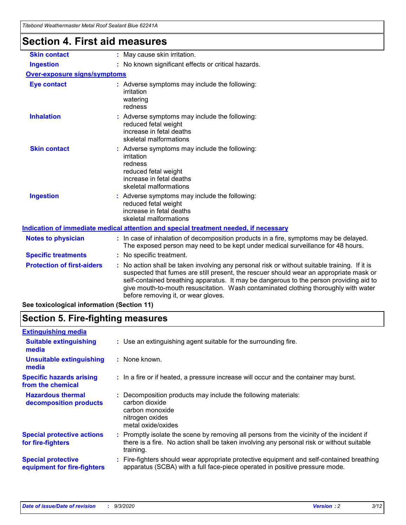| i iteboha weathermaster Metal Roof Sealaht Blue 62241A |                                                                                                                                                                                                                                                                                                                                                                                                                 |
|--------------------------------------------------------|-----------------------------------------------------------------------------------------------------------------------------------------------------------------------------------------------------------------------------------------------------------------------------------------------------------------------------------------------------------------------------------------------------------------|
| <b>Section 4. First aid measures</b>                   |                                                                                                                                                                                                                                                                                                                                                                                                                 |
| <b>Skin contact</b>                                    | : May cause skin irritation.                                                                                                                                                                                                                                                                                                                                                                                    |
| <b>Ingestion</b>                                       | : No known significant effects or critical hazards.                                                                                                                                                                                                                                                                                                                                                             |
| <b>Over-exposure signs/symptoms</b>                    |                                                                                                                                                                                                                                                                                                                                                                                                                 |
| <b>Eye contact</b>                                     | : Adverse symptoms may include the following:<br>irritation<br>watering<br>redness                                                                                                                                                                                                                                                                                                                              |
| <b>Inhalation</b>                                      | : Adverse symptoms may include the following:<br>reduced fetal weight<br>increase in fetal deaths<br>skeletal malformations                                                                                                                                                                                                                                                                                     |
| <b>Skin contact</b>                                    | : Adverse symptoms may include the following:<br>irritation<br>redness<br>reduced fetal weight<br>increase in fetal deaths<br>skeletal malformations                                                                                                                                                                                                                                                            |
| <b>Ingestion</b>                                       | : Adverse symptoms may include the following:<br>reduced fetal weight<br>increase in fetal deaths<br>skeletal malformations                                                                                                                                                                                                                                                                                     |
|                                                        | Indication of immediate medical attention and special treatment needed, if necessary                                                                                                                                                                                                                                                                                                                            |
| <b>Notes to physician</b>                              | : In case of inhalation of decomposition products in a fire, symptoms may be delayed.<br>The exposed person may need to be kept under medical surveillance for 48 hours.                                                                                                                                                                                                                                        |
| <b>Specific treatments</b>                             | : No specific treatment.                                                                                                                                                                                                                                                                                                                                                                                        |
| <b>Protection of first-aiders</b>                      | : No action shall be taken involving any personal risk or without suitable training. If it is<br>suspected that fumes are still present, the rescuer should wear an appropriate mask or<br>self-contained breathing apparatus. It may be dangerous to the person providing aid to<br>give mouth-to-mouth resuscitation. Wash contaminated clothing thoroughly with water<br>before removing it, or wear gloves. |

### **See toxicological information (Section 11)**

### **Section 5. Fire-fighting measures**

| <b>Extinguishing media</b>                               |                                                                                                                                                                                                     |
|----------------------------------------------------------|-----------------------------------------------------------------------------------------------------------------------------------------------------------------------------------------------------|
| <b>Suitable extinguishing</b><br>media                   | : Use an extinguishing agent suitable for the surrounding fire.                                                                                                                                     |
| <b>Unsuitable extinguishing</b><br>media                 | : None known.                                                                                                                                                                                       |
| <b>Specific hazards arising</b><br>from the chemical     | : In a fire or if heated, a pressure increase will occur and the container may burst.                                                                                                               |
| <b>Hazardous thermal</b><br>decomposition products       | Decomposition products may include the following materials:<br>carbon dioxide<br>carbon monoxide<br>nitrogen oxides<br>metal oxide/oxides                                                           |
| <b>Special protective actions</b><br>for fire-fighters   | : Promptly isolate the scene by removing all persons from the vicinity of the incident if<br>there is a fire. No action shall be taken involving any personal risk or without suitable<br>training. |
| <b>Special protective</b><br>equipment for fire-fighters | Fire-fighters should wear appropriate protective equipment and self-contained breathing<br>apparatus (SCBA) with a full face-piece operated in positive pressure mode.                              |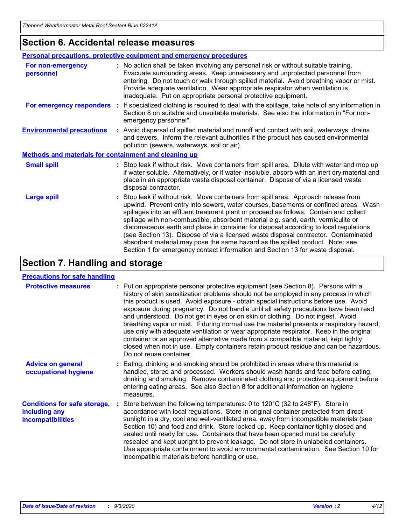### **Section 6. Accidental release measures**

|                                                              | Personal precautions, protective equipment and emergency procedures                                                                                                                                                                                                                                                                                                                                                                                                                                                                                                                                                                                                                                          |
|--------------------------------------------------------------|--------------------------------------------------------------------------------------------------------------------------------------------------------------------------------------------------------------------------------------------------------------------------------------------------------------------------------------------------------------------------------------------------------------------------------------------------------------------------------------------------------------------------------------------------------------------------------------------------------------------------------------------------------------------------------------------------------------|
| For non-emergency<br>personnel                               | : No action shall be taken involving any personal risk or without suitable training.<br>Evacuate surrounding areas. Keep unnecessary and unprotected personnel from<br>entering. Do not touch or walk through spilled material. Avoid breathing vapor or mist.<br>Provide adequate ventilation. Wear appropriate respirator when ventilation is<br>inadequate. Put on appropriate personal protective equipment.                                                                                                                                                                                                                                                                                             |
| For emergency responders                                     | : If specialized clothing is required to deal with the spillage, take note of any information in<br>Section 8 on suitable and unsuitable materials. See also the information in "For non-<br>emergency personnel".                                                                                                                                                                                                                                                                                                                                                                                                                                                                                           |
| <b>Environmental precautions</b>                             | : Avoid dispersal of spilled material and runoff and contact with soil, waterways, drains<br>and sewers. Inform the relevant authorities if the product has caused environmental<br>pollution (sewers, waterways, soil or air).                                                                                                                                                                                                                                                                                                                                                                                                                                                                              |
| <b>Methods and materials for containment and cleaning up</b> |                                                                                                                                                                                                                                                                                                                                                                                                                                                                                                                                                                                                                                                                                                              |
| <b>Small spill</b>                                           | : Stop leak if without risk. Move containers from spill area. Dilute with water and mop up<br>if water-soluble. Alternatively, or if water-insoluble, absorb with an inert dry material and<br>place in an appropriate waste disposal container. Dispose of via a licensed waste<br>disposal contractor.                                                                                                                                                                                                                                                                                                                                                                                                     |
| <b>Large spill</b>                                           | : Stop leak if without risk. Move containers from spill area. Approach release from<br>upwind. Prevent entry into sewers, water courses, basements or confined areas. Wash<br>spillages into an effluent treatment plant or proceed as follows. Contain and collect<br>spillage with non-combustible, absorbent material e.g. sand, earth, vermiculite or<br>diatomaceous earth and place in container for disposal according to local regulations<br>(see Section 13). Dispose of via a licensed waste disposal contractor. Contaminated<br>absorbent material may pose the same hazard as the spilled product. Note: see<br>Section 1 for emergency contact information and Section 13 for waste disposal. |

# **Section 7. Handling and storage**

#### **Precautions for safe handling**

| <b>Protective measures</b>                                                       | : Put on appropriate personal protective equipment (see Section 8). Persons with a<br>history of skin sensitization problems should not be employed in any process in which<br>this product is used. Avoid exposure - obtain special instructions before use. Avoid<br>exposure during pregnancy. Do not handle until all safety precautions have been read<br>and understood. Do not get in eyes or on skin or clothing. Do not ingest. Avoid<br>breathing vapor or mist. If during normal use the material presents a respiratory hazard,<br>use only with adequate ventilation or wear appropriate respirator. Keep in the original<br>container or an approved alternative made from a compatible material, kept tightly<br>closed when not in use. Empty containers retain product residue and can be hazardous.<br>Do not reuse container. |
|----------------------------------------------------------------------------------|--------------------------------------------------------------------------------------------------------------------------------------------------------------------------------------------------------------------------------------------------------------------------------------------------------------------------------------------------------------------------------------------------------------------------------------------------------------------------------------------------------------------------------------------------------------------------------------------------------------------------------------------------------------------------------------------------------------------------------------------------------------------------------------------------------------------------------------------------|
| <b>Advice on general</b><br>occupational hygiene                                 | : Eating, drinking and smoking should be prohibited in areas where this material is<br>handled, stored and processed. Workers should wash hands and face before eating,<br>drinking and smoking. Remove contaminated clothing and protective equipment before<br>entering eating areas. See also Section 8 for additional information on hygiene<br>measures.                                                                                                                                                                                                                                                                                                                                                                                                                                                                                    |
| <b>Conditions for safe storage,</b><br>including any<br><i>incompatibilities</i> | Store between the following temperatures: 0 to $120^{\circ}$ C (32 to $248^{\circ}$ F). Store in<br>accordance with local regulations. Store in original container protected from direct<br>sunlight in a dry, cool and well-ventilated area, away from incompatible materials (see<br>Section 10) and food and drink. Store locked up. Keep container tightly closed and<br>sealed until ready for use. Containers that have been opened must be carefully<br>resealed and kept upright to prevent leakage. Do not store in unlabeled containers.<br>Use appropriate containment to avoid environmental contamination. See Section 10 for<br>incompatible materials before handling or use.                                                                                                                                                     |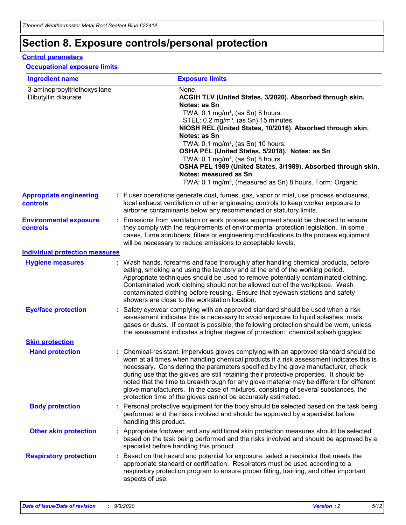# **Section 8. Exposure controls/personal protection**

#### **Control parameters**

#### **Occupational exposure limits**

| <b>Ingredient name</b>                               |    |                        | <b>Exposure limits</b>                                                                                                                                                                                                                                                                                                                                                                                                                                                                                                                                                                                                 |
|------------------------------------------------------|----|------------------------|------------------------------------------------------------------------------------------------------------------------------------------------------------------------------------------------------------------------------------------------------------------------------------------------------------------------------------------------------------------------------------------------------------------------------------------------------------------------------------------------------------------------------------------------------------------------------------------------------------------------|
| 3-aminopropyltriethoxysilane<br>Dibutyltin dilaurate |    |                        | None.<br>ACGIH TLV (United States, 3/2020). Absorbed through skin.<br>Notes: as Sn<br>TWA: $0.1 \text{ mg/m}^3$ , (as Sn) 8 hours.<br>STEL: 0.2 mg/m <sup>3</sup> , (as Sn) 15 minutes.<br>NIOSH REL (United States, 10/2016). Absorbed through skin.<br>Notes: as Sn<br>TWA: 0.1 mg/m <sup>3</sup> , (as Sn) 10 hours.<br>OSHA PEL (United States, 5/2018). Notes: as Sn<br>TWA: $0.1 \text{ mg/m}^3$ , (as Sn) 8 hours.<br>OSHA PEL 1989 (United States, 3/1989). Absorbed through skin.<br>Notes: measured as Sn<br>TWA: 0.1 mg/m <sup>3</sup> , (measured as Sn) 8 hours. Form: Organic                            |
| <b>Appropriate engineering</b><br>controls           |    |                        | : If user operations generate dust, fumes, gas, vapor or mist, use process enclosures,<br>local exhaust ventilation or other engineering controls to keep worker exposure to<br>airborne contaminants below any recommended or statutory limits.                                                                                                                                                                                                                                                                                                                                                                       |
| <b>Environmental exposure</b><br>controls            |    |                        | Emissions from ventilation or work process equipment should be checked to ensure<br>they comply with the requirements of environmental protection legislation. In some<br>cases, fume scrubbers, filters or engineering modifications to the process equipment<br>will be necessary to reduce emissions to acceptable levels.                                                                                                                                                                                                                                                                                          |
| <b>Individual protection measures</b>                |    |                        |                                                                                                                                                                                                                                                                                                                                                                                                                                                                                                                                                                                                                        |
| <b>Hygiene measures</b>                              |    |                        | : Wash hands, forearms and face thoroughly after handling chemical products, before<br>eating, smoking and using the lavatory and at the end of the working period.<br>Appropriate techniques should be used to remove potentially contaminated clothing.<br>Contaminated work clothing should not be allowed out of the workplace. Wash<br>contaminated clothing before reusing. Ensure that eyewash stations and safety<br>showers are close to the workstation location.                                                                                                                                            |
| <b>Eye/face protection</b>                           |    |                        | : Safety eyewear complying with an approved standard should be used when a risk<br>assessment indicates this is necessary to avoid exposure to liquid splashes, mists,<br>gases or dusts. If contact is possible, the following protection should be worn, unless<br>the assessment indicates a higher degree of protection: chemical splash goggles.                                                                                                                                                                                                                                                                  |
| <b>Skin protection</b>                               |    |                        |                                                                                                                                                                                                                                                                                                                                                                                                                                                                                                                                                                                                                        |
| <b>Hand protection</b>                               |    |                        | : Chemical-resistant, impervious gloves complying with an approved standard should be<br>worn at all times when handling chemical products if a risk assessment indicates this is<br>necessary. Considering the parameters specified by the glove manufacturer, check<br>during use that the gloves are still retaining their protective properties. It should be<br>noted that the time to breakthrough for any glove material may be different for different<br>glove manufacturers. In the case of mixtures, consisting of several substances, the<br>protection time of the gloves cannot be accurately estimated. |
| <b>Body protection</b>                               |    | handling this product. | Personal protective equipment for the body should be selected based on the task being<br>performed and the risks involved and should be approved by a specialist before                                                                                                                                                                                                                                                                                                                                                                                                                                                |
| <b>Other skin protection</b>                         |    |                        | : Appropriate footwear and any additional skin protection measures should be selected<br>based on the task being performed and the risks involved and should be approved by a<br>specialist before handling this product.                                                                                                                                                                                                                                                                                                                                                                                              |
| <b>Respiratory protection</b>                        | ÷. | aspects of use.        | Based on the hazard and potential for exposure, select a respirator that meets the<br>appropriate standard or certification. Respirators must be used according to a<br>respiratory protection program to ensure proper fitting, training, and other important                                                                                                                                                                                                                                                                                                                                                         |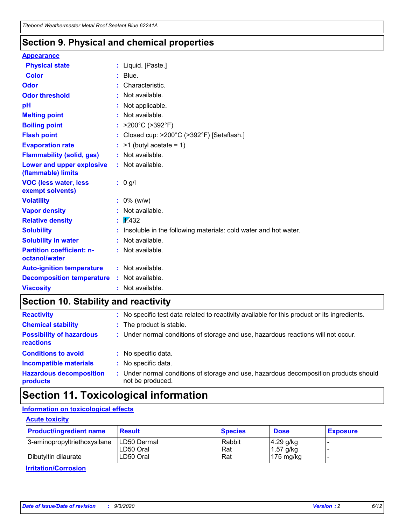### **Section 9. Physical and chemical properties**

#### **Appearance**

| <b>Physical state</b>                             | : Liquid. [Paste.]                                              |
|---------------------------------------------------|-----------------------------------------------------------------|
| <b>Color</b>                                      | Blue.                                                           |
| Odor                                              | Characteristic.                                                 |
| <b>Odor threshold</b>                             | Not available.                                                  |
| pH                                                | Not applicable.                                                 |
| <b>Melting point</b>                              | : Not available.                                                |
| <b>Boiling point</b>                              | >200°C (>392°F)                                                 |
| <b>Flash point</b>                                | Closed cup: >200°C (>392°F) [Setaflash.]                        |
| <b>Evaporation rate</b>                           | $:$ >1 (butyl acetate = 1)                                      |
| <b>Flammability (solid, gas)</b>                  | : Not available.                                                |
| Lower and upper explosive<br>(flammable) limits   | : Not available.                                                |
| <b>VOC (less water, less</b><br>exempt solvents)  | : 0 g/l                                                         |
| <b>Volatility</b>                                 | $: 0\%$ (w/w)                                                   |
| <b>Vapor density</b>                              | Not available.                                                  |
| <b>Relative density</b>                           | $\frac{1}{2}$ 2.432                                             |
| <b>Solubility</b>                                 | Insoluble in the following materials: cold water and hot water. |
| <b>Solubility in water</b>                        | Not available.                                                  |
| <b>Partition coefficient: n-</b><br>octanol/water | : Not available.                                                |
| <b>Auto-ignition temperature</b>                  | : Not available.                                                |
| <b>Decomposition temperature</b>                  | $:$ Not available.                                              |
| <b>Viscosity</b>                                  | $:$ Not available.                                              |

### **Section 10. Stability and reactivity**

| <b>Reactivity</b>                            |    | : No specific test data related to reactivity available for this product or its ingredients.            |
|----------------------------------------------|----|---------------------------------------------------------------------------------------------------------|
| <b>Chemical stability</b>                    |    | : The product is stable.                                                                                |
| <b>Possibility of hazardous</b><br>reactions |    | : Under normal conditions of storage and use, hazardous reactions will not occur.                       |
| <b>Conditions to avoid</b>                   |    | : No specific data.                                                                                     |
| <b>Incompatible materials</b>                | ٠. | No specific data.                                                                                       |
| <b>Hazardous decomposition</b><br>products   | ÷. | Under normal conditions of storage and use, hazardous decomposition products should<br>not be produced. |

### **Section 11. Toxicological information**

#### **Information on toxicological effects**

#### **Acute toxicity**

| <b>Product/ingredient name</b> | <b>Result</b>           | <b>Species</b> | <b>Dose</b>                | <b>Exposure</b> |
|--------------------------------|-------------------------|----------------|----------------------------|-----------------|
| 3-aminopropyltriethoxysilane   | <b>ILD50 Dermal</b>     | Rabbit         | 4.29 g/kg                  |                 |
| Dibutyltin dilaurate           | ILD50 Oral<br>LD50 Oral | Rat<br>Rat     | $1.57$ g/kg<br>175 $mg/kg$ |                 |
|                                |                         |                |                            |                 |

**Irritation/Corrosion**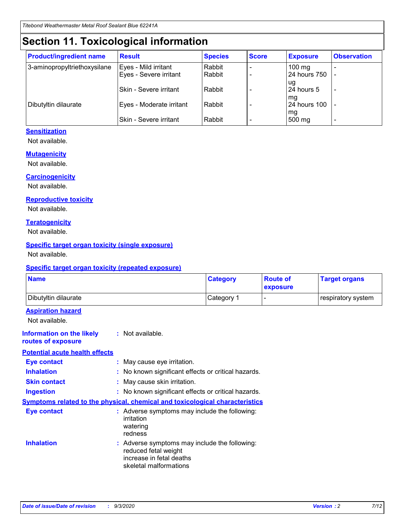# **Section 11. Toxicological information**

| <b>Product/ingredient name</b> | <b>Result</b>                 | <b>Species</b> | <b>Score</b> | <b>Exposure</b>    | <b>Observation</b> |
|--------------------------------|-------------------------------|----------------|--------------|--------------------|--------------------|
| 3-aminopropyltriethoxysilane   | Eyes - Mild irritant          | Rabbit         |              | $100 \text{ mg}$   |                    |
|                                | Eyes - Severe irritant        | Rabbit         |              | 24 hours 750       |                    |
|                                |                               |                |              | ug                 |                    |
|                                | <b>Skin - Severe irritant</b> | Rabbit         |              | 24 hours 5         | -                  |
| Dibutyltin dilaurate           | Eyes - Moderate irritant      | Rabbit         |              | mq<br>24 hours 100 |                    |
|                                |                               |                |              | mg                 |                    |
|                                | Skin - Severe irritant        | Rabbit         |              | 500 mg             |                    |

#### **Sensitization**

Not available.

#### **Mutagenicity**

Not available.

#### **Carcinogenicity**

Not available.

#### **Reproductive toxicity**

Not available.

#### **Teratogenicity**

Not available.

#### **Specific target organ toxicity (single exposure)**

Not available.

#### **Specific target organ toxicity (repeated exposure)**

| <b>Name</b>                                                                  |                                                                            | <b>Category</b>                                     | <b>Route of</b><br>exposure | <b>Target organs</b> |  |  |
|------------------------------------------------------------------------------|----------------------------------------------------------------------------|-----------------------------------------------------|-----------------------------|----------------------|--|--|
| Dibutyltin dilaurate                                                         |                                                                            | Category 1                                          |                             | respiratory system   |  |  |
| <b>Aspiration hazard</b><br>Not available.                                   |                                                                            |                                                     |                             |                      |  |  |
| <b>Information on the likely</b><br>routes of exposure                       | : Not available.                                                           |                                                     |                             |                      |  |  |
| <b>Potential acute health effects</b>                                        |                                                                            |                                                     |                             |                      |  |  |
| <b>Eye contact</b>                                                           | : May cause eye irritation.                                                |                                                     |                             |                      |  |  |
| <b>Inhalation</b>                                                            |                                                                            | : No known significant effects or critical hazards. |                             |                      |  |  |
| <b>Skin contact</b>                                                          |                                                                            | : May cause skin irritation.                        |                             |                      |  |  |
| <b>Ingestion</b>                                                             |                                                                            | : No known significant effects or critical hazards. |                             |                      |  |  |
| Symptoms related to the physical, chemical and toxicological characteristics |                                                                            |                                                     |                             |                      |  |  |
| <b>Eye contact</b>                                                           | irritation<br>watering<br>redness                                          | : Adverse symptoms may include the following:       |                             |                      |  |  |
| <b>Inhalation</b>                                                            | reduced fetal weight<br>increase in fetal deaths<br>skeletal malformations | : Adverse symptoms may include the following:       |                             |                      |  |  |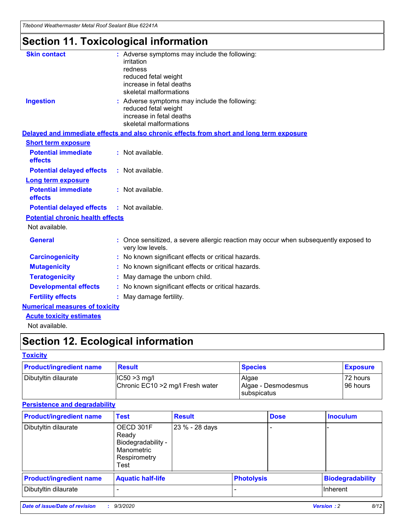*Titebond Weathermaster Metal Roof Sealant Blue 62241A*

# **Section 11. Toxicological information**

| <b>Skin contact</b>                     | : Adverse symptoms may include the following:<br>irritation                                            |
|-----------------------------------------|--------------------------------------------------------------------------------------------------------|
|                                         | redness                                                                                                |
|                                         | reduced fetal weight                                                                                   |
|                                         | increase in fetal deaths                                                                               |
|                                         | skeletal malformations                                                                                 |
| <b>Ingestion</b>                        | : Adverse symptoms may include the following:<br>reduced fetal weight                                  |
|                                         | increase in fetal deaths                                                                               |
|                                         | skeletal malformations                                                                                 |
|                                         | Delayed and immediate effects and also chronic effects from short and long term exposure               |
| <b>Short term exposure</b>              |                                                                                                        |
| <b>Potential immediate</b><br>effects   | : Not available.                                                                                       |
| <b>Potential delayed effects</b>        | : Not available.                                                                                       |
| <b>Long term exposure</b>               |                                                                                                        |
| <b>Potential immediate</b><br>effects   | : Not available.                                                                                       |
| <b>Potential delayed effects</b>        | : Not available.                                                                                       |
| <b>Potential chronic health effects</b> |                                                                                                        |
| Not available.                          |                                                                                                        |
| <b>General</b>                          | Once sensitized, a severe allergic reaction may occur when subsequently exposed to<br>very low levels. |
| <b>Carcinogenicity</b>                  | No known significant effects or critical hazards.                                                      |
| <b>Mutagenicity</b>                     | : No known significant effects or critical hazards.                                                    |
| <b>Teratogenicity</b>                   | May damage the unborn child.                                                                           |
| <b>Developmental effects</b>            | : No known significant effects or critical hazards.                                                    |
| <b>Fertility effects</b>                | : May damage fertility.                                                                                |
| <b>Numerical measures of toxicity</b>   |                                                                                                        |
| <b>Acute toxicity estimates</b>         |                                                                                                        |
| Not ovoilable                           |                                                                                                        |

Not available.

# **Section 12. Ecological information**

#### **Toxicity**

| <b>Product/ingredient name</b> | <b>Result</b>                                       | <b>Species</b>               | <b>Exposure</b>       |
|--------------------------------|-----------------------------------------------------|------------------------------|-----------------------|
| Dibutyltin dilaurate           | $ CC50>3$ mg/l<br>Chronic EC10 > 2 mg/l Fresh water | Algae<br>Algae - Desmodesmus | 72 hours<br>196 hours |
|                                |                                                     | <b>I</b> subspicatus         |                       |

#### **Persistence and degradability**

| <b>Product/ingredient name</b> | <b>Test</b>                                                                    | <b>Result</b>  |                   | <b>Dose</b> | <b>Inoculum</b>         |
|--------------------------------|--------------------------------------------------------------------------------|----------------|-------------------|-------------|-------------------------|
| Dibutyltin dilaurate           | OECD 301F<br>Ready<br>Biodegradability -<br>Manometric<br>Respirometry<br>Test | 23 % - 28 days |                   |             |                         |
| <b>Product/ingredient name</b> | <b>Aquatic half-life</b>                                                       |                | <b>Photolysis</b> |             | <b>Biodegradability</b> |
| Dibutyltin dilaurate           |                                                                                |                |                   |             | <b>Inherent</b>         |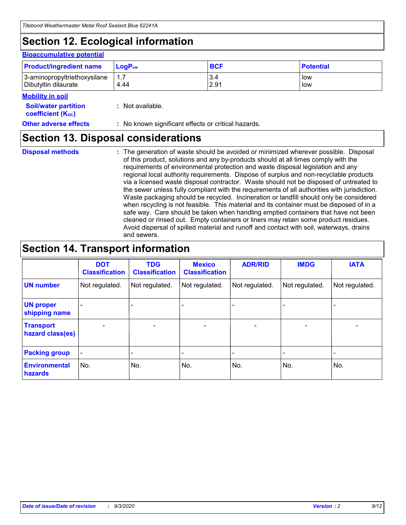# **Section 12. Ecological information**

#### **Bioaccumulative potential**

| <b>Product/ingredient name</b> | $\mathsf{LogP}_\mathsf{ow}$ | <b>BCF</b> | <b>Potential</b> |
|--------------------------------|-----------------------------|------------|------------------|
| 3-aminopropyltriethoxysilane   | $1.\overline{7}$            | 3.4        | low              |
| Dibutyltin dilaurate           | 4.44                        | 2.91       | low              |

#### **Mobility in soil**

| IVIUWIIILY III JUII                                     |                                                     |
|---------------------------------------------------------|-----------------------------------------------------|
| <b>Soil/water partition</b><br><b>coefficient (Koc)</b> | : Not available.                                    |
| <b>Other adverse effects</b>                            | : No known significant effects or critical hazards. |

### **Section 13. Disposal considerations**

**Disposal methods :**

The generation of waste should be avoided or minimized wherever possible. Disposal of this product, solutions and any by-products should at all times comply with the requirements of environmental protection and waste disposal legislation and any regional local authority requirements. Dispose of surplus and non-recyclable products via a licensed waste disposal contractor. Waste should not be disposed of untreated to the sewer unless fully compliant with the requirements of all authorities with jurisdiction. Waste packaging should be recycled. Incineration or landfill should only be considered when recycling is not feasible. This material and its container must be disposed of in a safe way. Care should be taken when handling emptied containers that have not been cleaned or rinsed out. Empty containers or liners may retain some product residues. Avoid dispersal of spilled material and runoff and contact with soil, waterways, drains and sewers.

### **Section 14. Transport information**

|                                      | <b>DOT</b><br><b>Classification</b> | <b>TDG</b><br><b>Classification</b> | <b>Mexico</b><br><b>Classification</b> | <b>ADR/RID</b>           | <b>IMDG</b>              | <b>IATA</b>    |
|--------------------------------------|-------------------------------------|-------------------------------------|----------------------------------------|--------------------------|--------------------------|----------------|
| <b>UN number</b>                     | Not regulated.                      | Not regulated.                      | Not regulated.                         | Not regulated.           | Not regulated.           | Not regulated. |
| <b>UN proper</b><br>shipping name    |                                     |                                     |                                        |                          |                          |                |
| <b>Transport</b><br>hazard class(es) |                                     | $\overline{\phantom{0}}$            | $\qquad \qquad \blacksquare$           | $\overline{\phantom{0}}$ | $\overline{\phantom{0}}$ |                |
| <b>Packing group</b>                 |                                     |                                     |                                        |                          |                          |                |
| <b>Environmental</b><br>hazards      | No.                                 | No.                                 | No.                                    | No.                      | No.                      | No.            |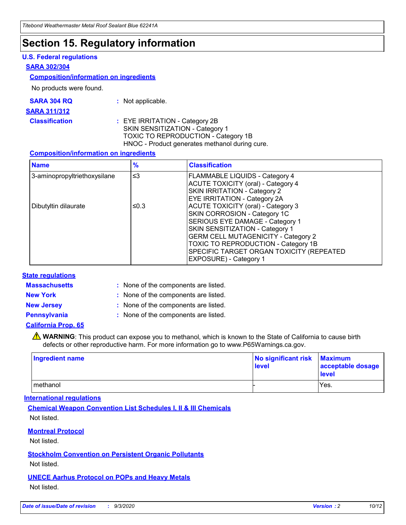### **Section 15. Regulatory information**

#### **U.S. Federal regulations**

#### **SARA 302/304**

#### **Composition/information on ingredients**

No products were found.

| SARA 304 RQ | Not applicable. |
|-------------|-----------------|
|-------------|-----------------|

#### **SARA 311/312**

#### **Classification :** EYE IRRITATION - Category 2B SKIN SENSITIZATION - Category 1 TOXIC TO REPRODUCTION - Category 1B HNOC - Product generates methanol during cure.

#### **Composition/information on ingredients**

| <b>Name</b>                  | $\frac{9}{6}$ | <b>Classification</b>                                                                                                                                                                                                                                                                                      |
|------------------------------|---------------|------------------------------------------------------------------------------------------------------------------------------------------------------------------------------------------------------------------------------------------------------------------------------------------------------------|
| 3-aminopropyltriethoxysilane | $\leq$ 3      | <b>FLAMMABLE LIQUIDS - Category 4</b><br><b>ACUTE TOXICITY (oral) - Category 4</b><br><b>SKIN IRRITATION - Category 2</b><br>EYE IRRITATION - Category 2A                                                                                                                                                  |
| Dibutyltin dilaurate         | ≤0.3          | <b>ACUTE TOXICITY (oral) - Category 3</b><br>SKIN CORROSION - Category 1C<br>SERIOUS EYE DAMAGE - Category 1<br>SKIN SENSITIZATION - Category 1<br><b>GERM CELL MUTAGENICITY - Category 2</b><br>TOXIC TO REPRODUCTION - Category 1B<br>SPECIFIC TARGET ORGAN TOXICITY (REPEATED<br>EXPOSURE) - Category 1 |

#### **State regulations**

**Massachusetts :**

: None of the components are listed.

**New York :** None of the components are listed. **New Jersey :** None of the components are listed.

**Pennsylvania :** None of the components are listed.

#### **California Prop. 65**

WARNING: This product can expose you to methanol, which is known to the State of California to cause birth defects or other reproductive harm. For more information go to www.P65Warnings.ca.gov.

| Ingredient name | No significant risk<br>level | <b>Maximum</b><br>acceptable dosage<br><b>level</b> |
|-----------------|------------------------------|-----------------------------------------------------|
| l methanol      |                              | Yes.                                                |

#### **International regulations**

**Chemical Weapon Convention List Schedules I, II & III Chemicals** Not listed.

#### **Montreal Protocol**

Not listed.

**Stockholm Convention on Persistent Organic Pollutants**

Not listed.

#### **UNECE Aarhus Protocol on POPs and Heavy Metals** Not listed.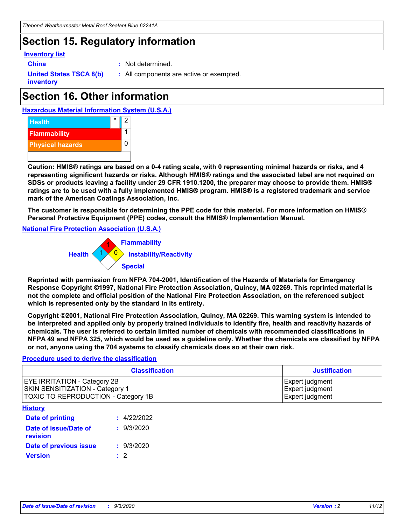### **Section 15. Regulatory information**

#### **Inventory list**

- 
- **China :** Not determined.

**United States TSCA 8(b) inventory**

**:** All components are active or exempted.

# **Section 16. Other information**





**Caution: HMIS® ratings are based on a 0-4 rating scale, with 0 representing minimal hazards or risks, and 4 representing significant hazards or risks. Although HMIS® ratings and the associated label are not required on SDSs or products leaving a facility under 29 CFR 1910.1200, the preparer may choose to provide them. HMIS® ratings are to be used with a fully implemented HMIS® program. HMIS® is a registered trademark and service mark of the American Coatings Association, Inc.**

**The customer is responsible for determining the PPE code for this material. For more information on HMIS® Personal Protective Equipment (PPE) codes, consult the HMIS® Implementation Manual.**

**National Fire Protection Association (U.S.A.)**



**Reprinted with permission from NFPA 704-2001, Identification of the Hazards of Materials for Emergency Response Copyright ©1997, National Fire Protection Association, Quincy, MA 02269. This reprinted material is not the complete and official position of the National Fire Protection Association, on the referenced subject which is represented only by the standard in its entirety.**

**Copyright ©2001, National Fire Protection Association, Quincy, MA 02269. This warning system is intended to be interpreted and applied only by properly trained individuals to identify fire, health and reactivity hazards of chemicals. The user is referred to certain limited number of chemicals with recommended classifications in NFPA 49 and NFPA 325, which would be used as a guideline only. Whether the chemicals are classified by NFPA or not, anyone using the 704 systems to classify chemicals does so at their own risk.**

#### **Procedure used to derive the classification**

| <b>Classification</b>                                                                                                | <b>Justification</b>                                  |
|----------------------------------------------------------------------------------------------------------------------|-------------------------------------------------------|
| <b>EYE IRRITATION - Category 2B</b><br><b>SKIN SENSITIZATION - Category 1</b><br>TOXIC TO REPRODUCTION - Category 1B | Expert judgment<br>Expert judgment<br>Expert judgment |
| <b>History</b>                                                                                                       |                                                       |

| .                                 |             |
|-----------------------------------|-------------|
| <b>Date of printing</b>           | : 4/22/2022 |
| Date of issue/Date of<br>revision | : 9/3/2020  |
| Date of previous issue            | : 9/3/2020  |
| <b>Version</b>                    | $\cdot$ 2   |
|                                   |             |